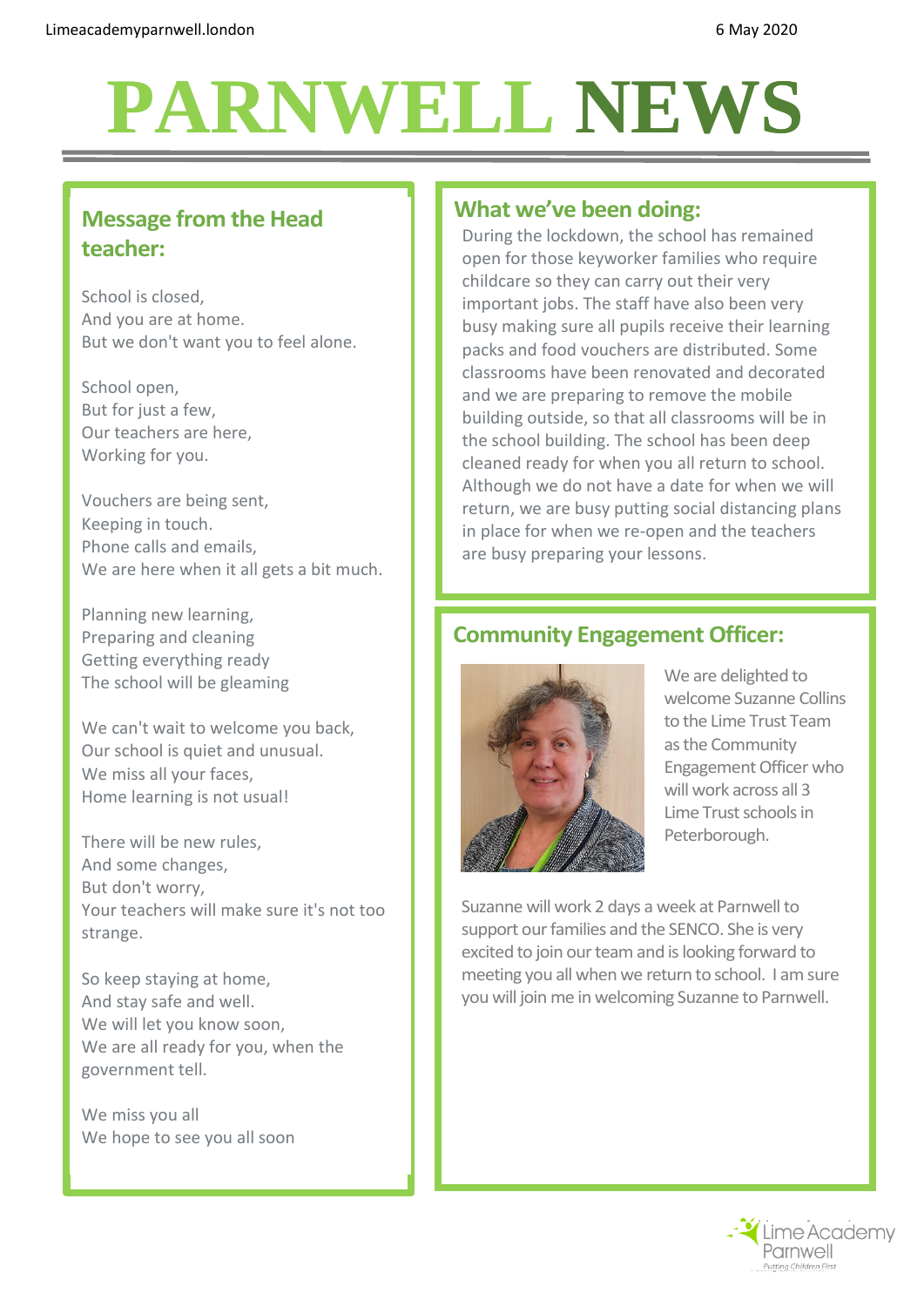# **PARNWELL NEWS PARNWELLNEWS**

## **Message from the Head teacher:**

School is closed, And you are at home. But we don't want you to feel alone.

School open, But for just a few, Our teachers are here, Working for you.

Vouchers are being sent, Keeping in touch. Phone calls and emails, We are here when it all gets a bit much.

Planning new learning, Preparing and cleaning Getting everything ready The school will be gleaming

We can't wait to welcome you back, Our school is quiet and unusual. We miss all your faces, Home learning is not usual!

There will be new rules, And some changes, But don't worry, Your teachers will make sure it's not too strange.

So keep staying at home, And stay safe and well. We will let you know soon, We are all ready for you, when the government tell.

We miss you all We hope to see you all soon

#### **What we've been doing:**

During the lockdown, the school has remained open for those keyworker families who require childcare so they can carry out their very important jobs. The staff have also been very busy making sure all pupils receive their learning packs and food vouchers are distributed. Some classrooms have been renovated and decorated and we are preparing to remove the mobile building outside, so that all classrooms will be in the school building. The school has been deep cleaned ready for when you all return to school. Although we do not have a date for when we will return, we are busy putting social distancing plans in place for when we re-open and the teachers are busy preparing your lessons.

## **Community Engagement Officer:**



We are delighted to welcome Suzanne Collins to the Lime Trust Team as the Community Engagement Officer who will work across all 3 Lime Trust schools in Peterborough.

Suzanne will work 2 days a week at Parnwell to support our families and the SENCO. She is very excited to join our team and is looking forward to meeting you all when we return to school. I am sure you will join me in welcoming Suzanne to Parnwell.

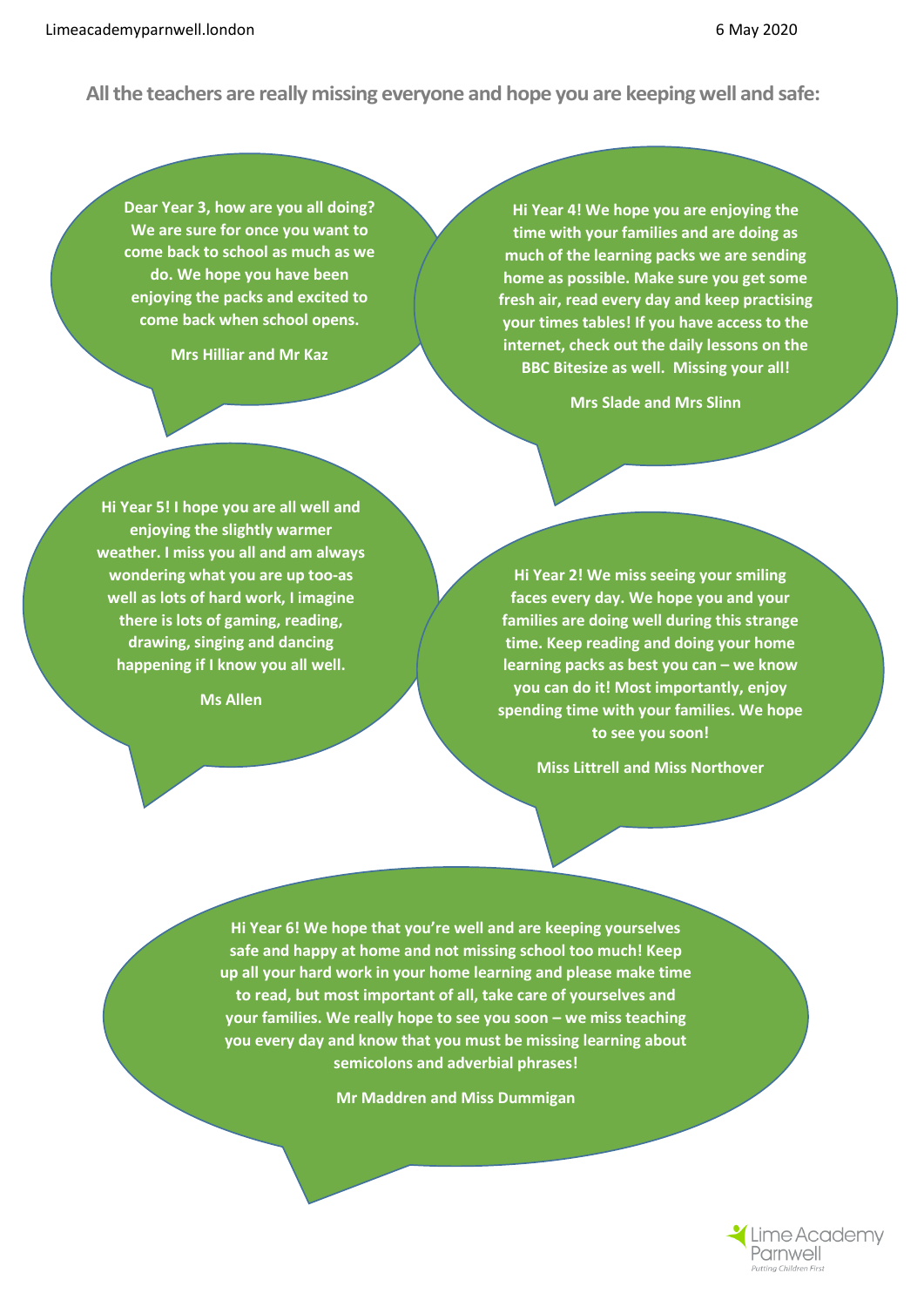**All the teachers are really missing everyone and hope you are keeping well and safe:**

**Dear Year 3, how are you all doing? We are sure for once you want to come back to school as much as we do. We hope you have been enjoying the packs and excited to come back when school opens.** 

**Mrs Hilliar and Mr Kaz**

**Hi Year 4! We hope you are enjoying the time with your families and are doing as much of the learning packs we are sending home as possible. Make sure you get some fresh air, read every day and keep practising your times tables! If you have access to the internet, check out the daily lessons on the BBC Bitesize as well. Missing your all!**

**Mrs Slade and Mrs Slinn**

**Hi Year 5! I hope you are all well and enjoying the slightly warmer weather. I miss you all and am always wondering what you are up too-as well as lots of hard work, I imagine there is lots of gaming, reading, drawing, singing and dancing happening if I know you all well.**

**Ms Allen**

**Hi Year 2! We miss seeing your smiling faces every day. We hope you and your families are doing well during this strange time. Keep reading and doing your home learning packs as best you can – we know you can do it! Most importantly, enjoy spending time with your families. We hope to see you soon!**

**Miss Littrell and Miss Northover**

**Hi Year 6! We hope that you're well and are keeping yourselves safe and happy at home and not missing school too much! Keep up all your hard work in your home learning and please make time to read, but most important of all, take care of yourselves and your families. We really hope to see you soon – we miss teaching you every day and know that you must be missing learning about semicolons and adverbial phrases!**

**Mr Maddren and Miss Dummigan**